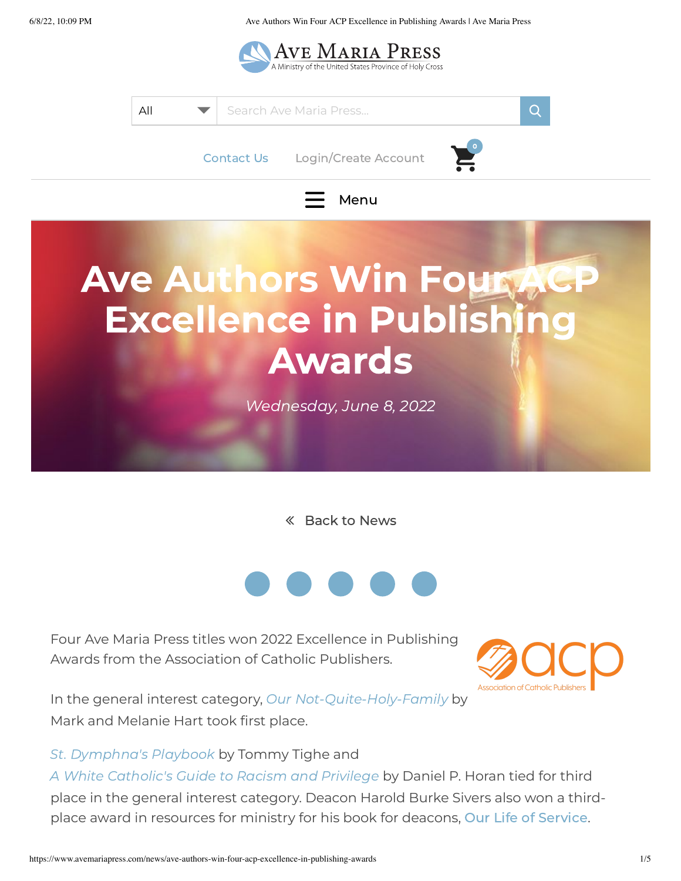6/8/22, 10:09 PM Ave Authors Win Four ACP Excellence in Publishing Awards | Ave Maria Press





Back to [News](https://www.avemariapress.com/news)



Four Ave Maria Press titles won 2022 Excellence in Publishing Awards from the Association of Catholic Publishers.



In the general interest category, Our [Not-Quite-Holy-Family](https://www.avemariapress.com/products/our-not-quite-holy-family) by Mark and Melanie Hart took first place.

St. [Dymphna's](https://www.avemariapress.com/products/st-dymphnas-playbook) Playbook by Tommy Tighe and

A White [Catholic's](https://www.avemariapress.com/products/white-catholics-guide-to-racism-and-privilege) Guide to Racism and Privilege by Daniel P. Horan tied for third place in the general interest category. Deacon Harold Burke Sivers also won a thirdplace award in resources for ministry for his book for deacons, Our Life of [Service](https://www.avemariapress.com/products/our-life-of-service).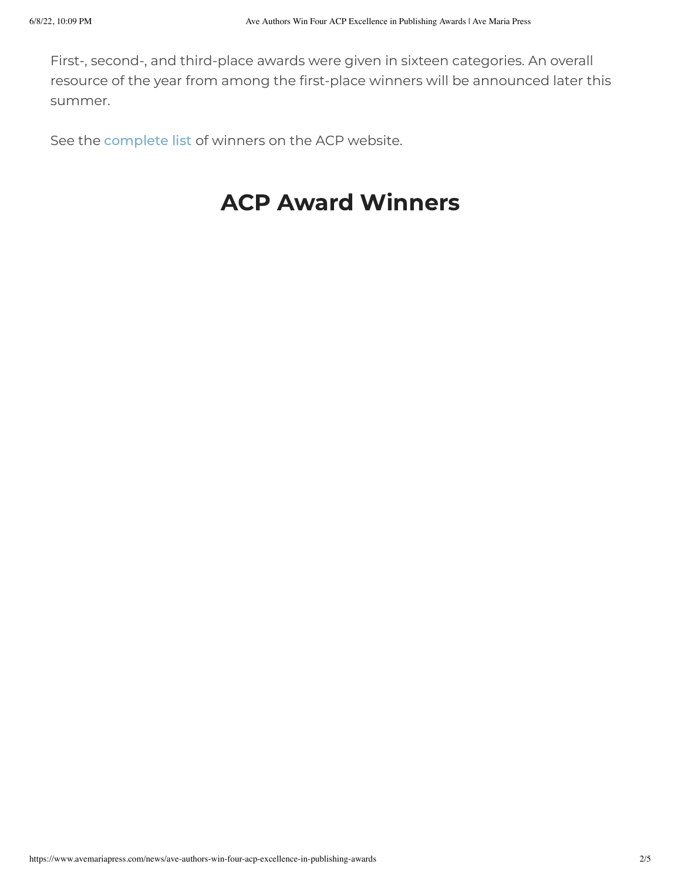First-, second-, and third-place awards were given in sixteen categories. An overall resource of the year from among the first-place winners will be announced later this summer.

See the [complete](https://www.catholicpublishers.org/2022-publishing-award-winners?fbclid=IwAR063O_d3OCqZjq_iHt_o6bJ2Q4LkZprWpi4eAN8yv1JgtruNtn5qnGqvwI) list of winners on the ACP website.

## ACP Award Winners